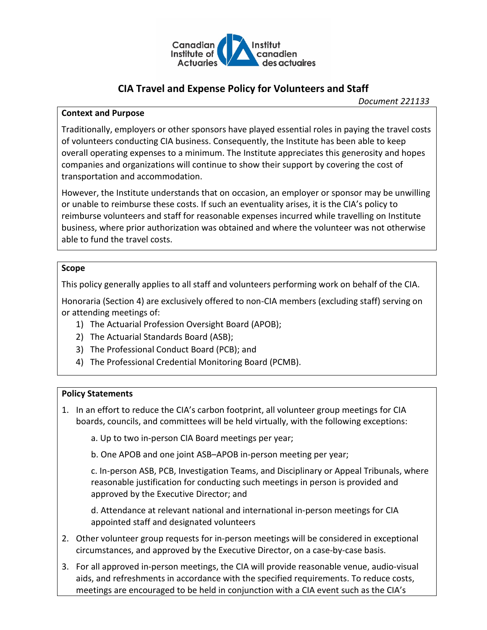

# **CIA Travel and Expense Policy for Volunteers and Staff**

#### **Context and Purpose**

Traditionally, employers or other sponsors have played essential roles in paying the travel costs of volunteers conducting CIA business. Consequently, the Institute has been able to keep overall operating expenses to a minimum. The Institute appreciates this generosity and hopes companies and organizations will continue to show their support by covering the cost of transportation and accommodation.

However, the Institute understands that on occasion, an employer or sponsor may be unwilling or unable to reimburse these costs. If such an eventuality arises, it is the CIA's policy to reimburse volunteers and staff for reasonable expenses incurred while travelling on Institute business, where prior authorization was obtained and where the volunteer was not otherwise able to fund the travel costs.

## **Scope**

This policy generally applies to all staff and volunteers performing work on behalf of the CIA.

Honoraria (Section 4) are exclusively offered to non-CIA members (excluding staff) serving on or attending meetings of:

- 1) The Actuarial Profession Oversight Board (APOB);
- 2) The Actuarial Standards Board (ASB);
- 3) The Professional Conduct Board (PCB); and
- 4) The Professional Credential Monitoring Board (PCMB).

## **Policy Statements**

- 1. In an effort to reduce the CIA's carbon footprint, all volunteer group meetings for CIA boards, councils, and committees will be held virtually, with the following exceptions:
	- a. Up to two in-person CIA Board meetings per year;
	- b. One APOB and one joint ASB–APOB in-person meeting per year;

c. In-person ASB, PCB, Investigation Teams, and Disciplinary or Appeal Tribunals, where reasonable justification for conducting such meetings in person is provided and approved by the Executive Director; and

d. Attendance at relevant national and international in-person meetings for CIA appointed staff and designated volunteers

- 2. Other volunteer group requests for in-person meetings will be considered in exceptional circumstances, and approved by the Executive Director, on a case-by-case basis.
- 3. For all approved in-person meetings, the CIA will provide reasonable venue, audio-visual aids, and refreshments in accordance with the specified requirements. To reduce costs, meetings are encouraged to be held in conjunction with a CIA event such as the CIA's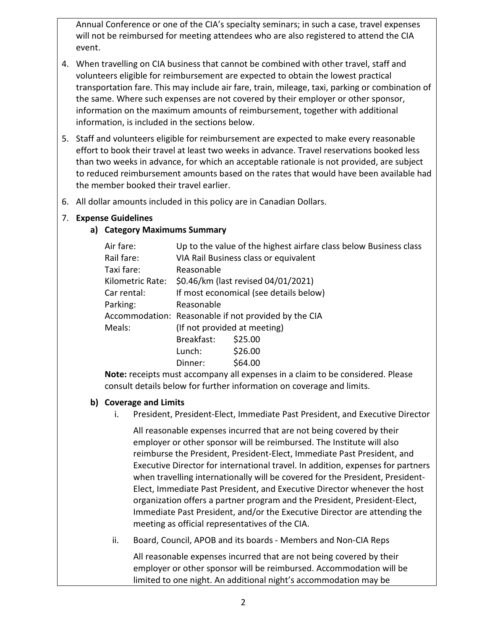Annual Conference or one of the CIA's specialty seminars; in such a case, travel expenses will not be reimbursed for meeting attendees who are also registered to attend the CIA event.

- 4. When travelling on CIA business that cannot be combined with other travel, staff and volunteers eligible for reimbursement are expected to obtain the lowest practical transportation fare. This may include air fare, train, mileage, taxi, parking or combination of the same. Where such expenses are not covered by their employer or other sponsor, information on the maximum amounts of reimbursement, together with additional information, is included in the sections below.
- 5. Staff and volunteers eligible for reimbursement are expected to make every reasonable effort to book their travel at least two weeks in advance. Travel reservations booked less than two weeks in advance, for which an acceptable rationale is not provided, are subject to reduced reimbursement amounts based on the rates that would have been available had the member booked their travel earlier.
- 6. All dollar amounts included in this policy are in Canadian Dollars.

## 7. **Expense Guidelines**

## **a) Category Maximums Summary**

| Air fare:        |                                                      | Up to the value of the highest airfare class below Business class |  |  |
|------------------|------------------------------------------------------|-------------------------------------------------------------------|--|--|
| Rail fare:       | VIA Rail Business class or equivalent                |                                                                   |  |  |
| Taxi fare:       | Reasonable                                           |                                                                   |  |  |
| Kilometric Rate: | \$0.46/km (last revised 04/01/2021)                  |                                                                   |  |  |
| Car rental:      | If most economical (see details below)               |                                                                   |  |  |
| Parking:         | Reasonable                                           |                                                                   |  |  |
|                  | Accommodation: Reasonable if not provided by the CIA |                                                                   |  |  |
| Meals:           | (If not provided at meeting)                         |                                                                   |  |  |
|                  | Breakfast:                                           | \$25.00                                                           |  |  |
|                  | Lunch:                                               | \$26.00                                                           |  |  |
|                  | Dinner:                                              | \$64.00                                                           |  |  |

**Note:** receipts must accompany all expenses in a claim to be considered. Please consult details below for further information on coverage and limits.

## **b) Coverage and Limits**

i. President, President-Elect, Immediate Past President, and Executive Director

All reasonable expenses incurred that are not being covered by their employer or other sponsor will be reimbursed. The Institute will also reimburse the President, President-Elect, Immediate Past President, and Executive Director for international travel. In addition, expenses for partners when travelling internationally will be covered for the President, President-Elect, Immediate Past President, and Executive Director whenever the host organization offers a partner program and the President, President-Elect, Immediate Past President, and/or the Executive Director are attending the meeting as official representatives of the CIA.

ii. Board, Council, APOB and its boards - Members and Non-CIA Reps

All reasonable expenses incurred that are not being covered by their employer or other sponsor will be reimbursed. Accommodation will be limited to one night. An additional night's accommodation may be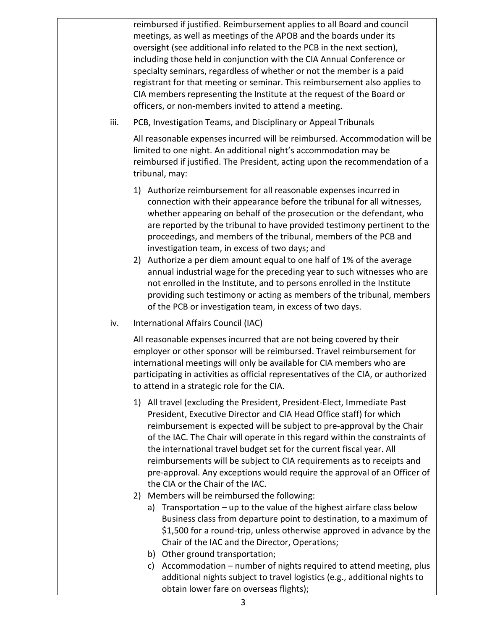reimbursed if justified. Reimbursement applies to all Board and council meetings, as well as meetings of the APOB and the boards under its oversight (see additional info related to the PCB in the next section), including those held in conjunction with the CIA Annual Conference or specialty seminars, regardless of whether or not the member is a paid registrant for that meeting or seminar. This reimbursement also applies to CIA members representing the Institute at the request of the Board or officers, or non-members invited to attend a meeting.

iii. PCB, Investigation Teams, and Disciplinary or Appeal Tribunals

All reasonable expenses incurred will be reimbursed. Accommodation will be limited to one night. An additional night's accommodation may be reimbursed if justified. The President, acting upon the recommendation of a tribunal, may:

- 1) Authorize reimbursement for all reasonable expenses incurred in connection with their appearance before the tribunal for all witnesses, whether appearing on behalf of the prosecution or the defendant, who are reported by the tribunal to have provided testimony pertinent to the proceedings, and members of the tribunal, members of the PCB and investigation team, in excess of two days; and
- 2) Authorize a per diem amount equal to one half of 1% of the average annual industrial wage for the preceding year to such witnesses who are not enrolled in the Institute, and to persons enrolled in the Institute providing such testimony or acting as members of the tribunal, members of the PCB or investigation team, in excess of two days.
- iv. International Affairs Council (IAC)

All reasonable expenses incurred that are not being covered by their employer or other sponsor will be reimbursed. Travel reimbursement for international meetings will only be available for CIA members who are participating in activities as official representatives of the CIA, or authorized to attend in a strategic role for the CIA.

- 1) All travel (excluding the President, President-Elect, Immediate Past President, Executive Director and CIA Head Office staff) for which reimbursement is expected will be subject to pre-approval by the Chair of the IAC. The Chair will operate in this regard within the constraints of the international travel budget set for the current fiscal year. All reimbursements will be subject to CIA requirements as to receipts and pre-approval. Any exceptions would require the approval of an Officer of the CIA or the Chair of the IAC.
- 2) Members will be reimbursed the following:
	- a) Transportation up to the value of the highest airfare class below Business class from departure point to destination, to a maximum of \$1,500 for a round-trip, unless otherwise approved in advance by the Chair of the IAC and the Director, Operations;
	- b) Other ground transportation;
	- c) Accommodation number of nights required to attend meeting, plus additional nights subject to travel logistics (e.g., additional nights to obtain lower fare on overseas flights);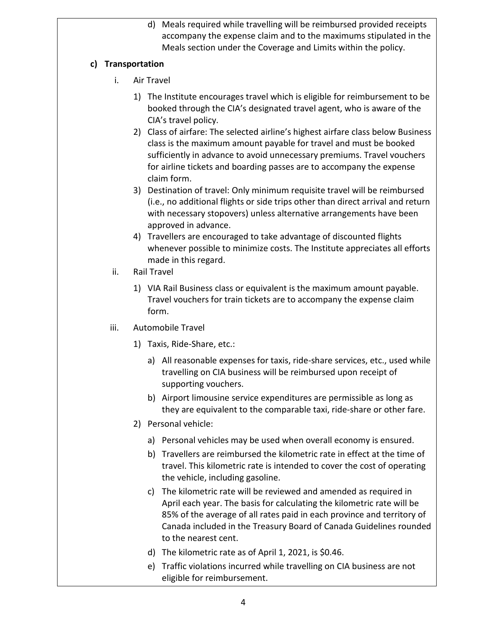d) Meals required while travelling will be reimbursed provided receipts accompany the expense claim and to the maximums stipulated in the Meals section under the Coverage and Limits within the policy.

## **c) Transportation**

- i. Air Travel
	- 1) The Institute encourages travel which is eligible for reimbursement to be booked through the CIA's designated travel agent, who is aware of the CIA's travel policy.
	- 2) Class of airfare: The selected airline's highest airfare class below Business class is the maximum amount payable for travel and must be booked sufficiently in advance to avoid unnecessary premiums. Travel vouchers for airline tickets and boarding passes are to accompany the expense claim form.
	- 3) Destination of travel: Only minimum requisite travel will be reimbursed (i.e., no additional flights or side trips other than direct arrival and return with necessary stopovers) unless alternative arrangements have been approved in advance.
	- 4) Travellers are encouraged to take advantage of discounted flights whenever possible to minimize costs. The Institute appreciates all efforts made in this regard.
- ii. Rail Travel
	- 1) VIA Rail Business class or equivalent is the maximum amount payable. Travel vouchers for train tickets are to accompany the expense claim form.
- iii. Automobile Travel
	- 1) Taxis, Ride-Share, etc.:
		- a) All reasonable expenses for taxis, ride-share services, etc., used while travelling on CIA business will be reimbursed upon receipt of supporting vouchers.
		- b) Airport limousine service expenditures are permissible as long as they are equivalent to the comparable taxi, ride-share or other fare.
	- 2) Personal vehicle:
		- a) Personal vehicles may be used when overall economy is ensured.
		- b) Travellers are reimbursed the kilometric rate in effect at the time of travel. This kilometric rate is intended to cover the cost of operating the vehicle, including gasoline.
		- c) The kilometric rate will be reviewed and amended as required in April each year. The basis for calculating the kilometric rate will be 85% of the average of all rates paid in each province and territory of Canada included in the Treasury Board of Canada Guidelines rounded to the nearest cent.
		- d) The kilometric rate as of April 1, 2021, is \$0.46.
		- e) Traffic violations incurred while travelling on CIA business are not eligible for reimbursement.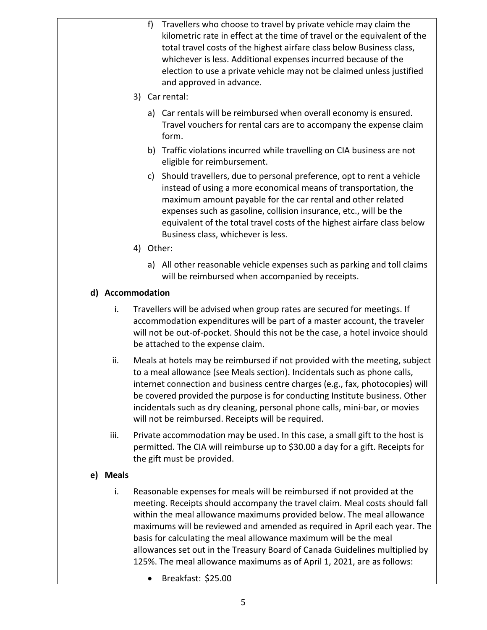- f) Travellers who choose to travel by private vehicle may claim the kilometric rate in effect at the time of travel or the equivalent of the total travel costs of the highest airfare class below Business class, whichever is less. Additional expenses incurred because of the election to use a private vehicle may not be claimed unless justified and approved in advance.
- 3) Car rental:
	- a) Car rentals will be reimbursed when overall economy is ensured. Travel vouchers for rental cars are to accompany the expense claim form.
	- b) Traffic violations incurred while travelling on CIA business are not eligible for reimbursement.
	- c) Should travellers, due to personal preference, opt to rent a vehicle instead of using a more economical means of transportation, the maximum amount payable for the car rental and other related expenses such as gasoline, collision insurance, etc., will be the equivalent of the total travel costs of the highest airfare class below Business class, whichever is less.
- 4) Other:
	- a) All other reasonable vehicle expenses such as parking and toll claims will be reimbursed when accompanied by receipts.

## **d) Accommodation**

- i. Travellers will be advised when group rates are secured for meetings. If accommodation expenditures will be part of a master account, the traveler will not be out-of-pocket. Should this not be the case, a hotel invoice should be attached to the expense claim.
- ii. Meals at hotels may be reimbursed if not provided with the meeting, subject to a meal allowance (see Meals section). Incidentals such as phone calls, internet connection and business centre charges (e.g., fax, photocopies) will be covered provided the purpose is for conducting Institute business. Other incidentals such as dry cleaning, personal phone calls, mini-bar, or movies will not be reimbursed. Receipts will be required.
- iii. Private accommodation may be used. In this case, a small gift to the host is permitted. The CIA will reimburse up to \$30.00 a day for a gift. Receipts for the gift must be provided.

## **e) Meals**

- i. Reasonable expenses for meals will be reimbursed if not provided at the meeting. Receipts should accompany the travel claim. Meal costs should fall within the meal allowance maximums provided below. The meal allowance maximums will be reviewed and amended as required in April each year. The basis for calculating the meal allowance maximum will be the meal allowances set out in the Treasury Board of Canada Guidelines multiplied by 125%. The meal allowance maximums as of April 1, 2021, are as follows:
	- Breakfast: \$25.00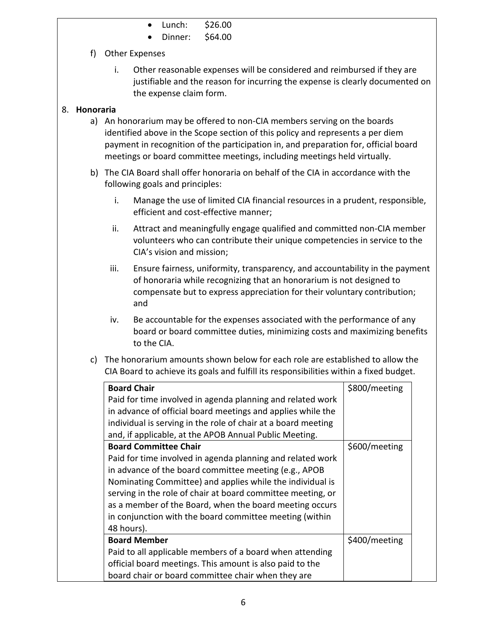- Lunch: \$26.00
- Dinner: \$64.00

# f) Other Expenses

i. Other reasonable expenses will be considered and reimbursed if they are justifiable and the reason for incurring the expense is clearly documented on the expense claim form.

## 8. **Honoraria**

- a) An honorarium may be offered to non-CIA members serving on the boards identified above in the Scope section of this policy and represents a per diem payment in recognition of the participation in, and preparation for, official board meetings or board committee meetings, including meetings held virtually.
- b) The CIA Board shall offer honoraria on behalf of the CIA in accordance with the following goals and principles:
	- i. Manage the use of limited CIA financial resources in a prudent, responsible, efficient and cost-effective manner;
	- ii. Attract and meaningfully engage qualified and committed non-CIA member volunteers who can contribute their unique competencies in service to the CIA's vision and mission;
	- iii. Ensure fairness, uniformity, transparency, and accountability in the payment of honoraria while recognizing that an honorarium is not designed to compensate but to express appreciation for their voluntary contribution; and
	- iv. Be accountable for the expenses associated with the performance of any board or board committee duties, minimizing costs and maximizing benefits to the CIA.
- c) The honorarium amounts shown below for each role are established to allow the CIA Board to achieve its goals and fulfill its responsibilities within a fixed budget.

| <b>Board Chair</b>                                            | \$800/meeting |
|---------------------------------------------------------------|---------------|
| Paid for time involved in agenda planning and related work    |               |
| in advance of official board meetings and applies while the   |               |
| individual is serving in the role of chair at a board meeting |               |
| and, if applicable, at the APOB Annual Public Meeting.        |               |
| <b>Board Committee Chair</b>                                  | \$600/meeting |
| Paid for time involved in agenda planning and related work    |               |
| in advance of the board committee meeting (e.g., APOB         |               |
| Nominating Committee) and applies while the individual is     |               |
| serving in the role of chair at board committee meeting, or   |               |
| as a member of the Board, when the board meeting occurs       |               |
| in conjunction with the board committee meeting (within       |               |
| 48 hours).                                                    |               |
| <b>Board Member</b>                                           | \$400/meeting |
| Paid to all applicable members of a board when attending      |               |
| official board meetings. This amount is also paid to the      |               |
| board chair or board committee chair when they are            |               |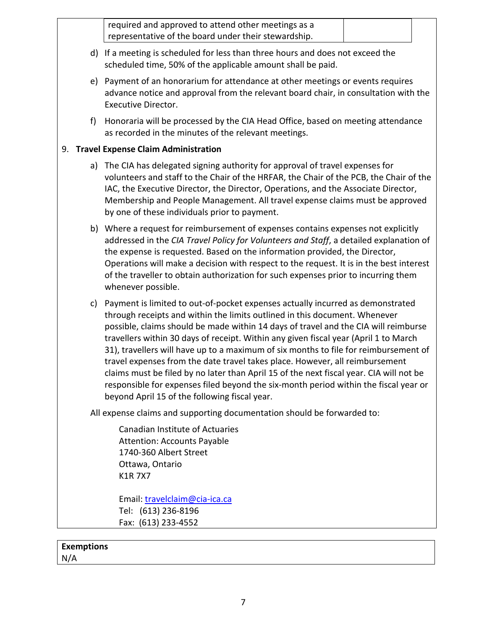|   | required and approved to attend other meetings as a<br>representative of the board under their stewardship.                                                                                                                                                                                                                                                                                                                                                                                                                                                                                                                                                                                                                                                |  |  |
|---|------------------------------------------------------------------------------------------------------------------------------------------------------------------------------------------------------------------------------------------------------------------------------------------------------------------------------------------------------------------------------------------------------------------------------------------------------------------------------------------------------------------------------------------------------------------------------------------------------------------------------------------------------------------------------------------------------------------------------------------------------------|--|--|
|   | d) If a meeting is scheduled for less than three hours and does not exceed the<br>scheduled time, 50% of the applicable amount shall be paid.                                                                                                                                                                                                                                                                                                                                                                                                                                                                                                                                                                                                              |  |  |
|   | e) Payment of an honorarium for attendance at other meetings or events requires<br>advance notice and approval from the relevant board chair, in consultation with the<br><b>Executive Director.</b>                                                                                                                                                                                                                                                                                                                                                                                                                                                                                                                                                       |  |  |
| f | Honoraria will be processed by the CIA Head Office, based on meeting attendance<br>as recorded in the minutes of the relevant meetings.                                                                                                                                                                                                                                                                                                                                                                                                                                                                                                                                                                                                                    |  |  |
|   | 9. Travel Expense Claim Administration                                                                                                                                                                                                                                                                                                                                                                                                                                                                                                                                                                                                                                                                                                                     |  |  |
|   | a) The CIA has delegated signing authority for approval of travel expenses for<br>volunteers and staff to the Chair of the HRFAR, the Chair of the PCB, the Chair of the<br>IAC, the Executive Director, the Director, Operations, and the Associate Director,<br>Membership and People Management. All travel expense claims must be approved<br>by one of these individuals prior to payment.                                                                                                                                                                                                                                                                                                                                                            |  |  |
|   | b) Where a request for reimbursement of expenses contains expenses not explicitly<br>addressed in the CIA Travel Policy for Volunteers and Staff, a detailed explanation of<br>the expense is requested. Based on the information provided, the Director,<br>Operations will make a decision with respect to the request. It is in the best interest<br>of the traveller to obtain authorization for such expenses prior to incurring them<br>whenever possible.                                                                                                                                                                                                                                                                                           |  |  |
|   | c) Payment is limited to out-of-pocket expenses actually incurred as demonstrated<br>through receipts and within the limits outlined in this document. Whenever<br>possible, claims should be made within 14 days of travel and the CIA will reimburse<br>travellers within 30 days of receipt. Within any given fiscal year (April 1 to March<br>31), travellers will have up to a maximum of six months to file for reimbursement of<br>travel expenses from the date travel takes place. However, all reimbursement<br>claims must be filed by no later than April 15 of the next fiscal year. CIA will not be<br>responsible for expenses filed beyond the six-month period within the fiscal year or<br>beyond April 15 of the following fiscal year. |  |  |
|   | All expense claims and supporting documentation should be forwarded to:                                                                                                                                                                                                                                                                                                                                                                                                                                                                                                                                                                                                                                                                                    |  |  |
|   | Canadian Institute of Actuaries<br><b>Attention: Accounts Payable</b><br>1740-360 Albert Street<br>Ottawa, Ontario<br><b>K1R7X7</b>                                                                                                                                                                                                                                                                                                                                                                                                                                                                                                                                                                                                                        |  |  |
|   | Email: travelclaim@cia-ica.ca                                                                                                                                                                                                                                                                                                                                                                                                                                                                                                                                                                                                                                                                                                                              |  |  |

Tel: (613) 236-8196 Fax: (613) 233-4552

# **Exemptions** N/A